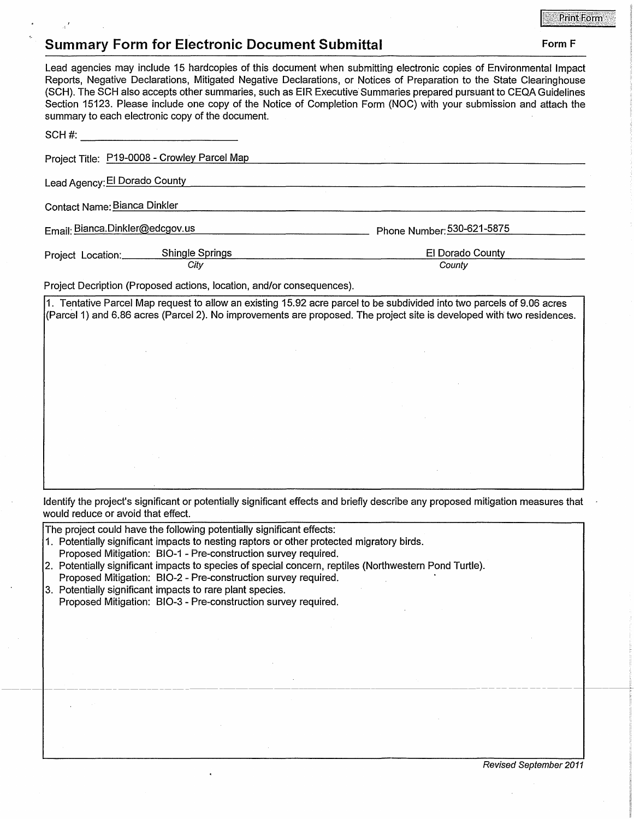## **Summary Form for Electronic Document Submittal Form F Form F Form F**

## Lead agencies may include 15 hardcopies of this document when submitting electronic copies of Environmental Impact Reports, Negative Declarations, Mitigated Negative Declarations, or Notices of Preparation to the State Clearinghouse (SCH). The SCH also accepts other summaries, such as EIR Executive· Summaries prepared pursuant to CEQA Guidelines Section 15123. Please include one copy of the Notice of Completion Form (NOC) with your submission and attach the summary to each electronic copy of the document.  $SCH #:$   $\overline{\phantom{a}}$ Project Title: P19-0008 - Crowley Parcel Map <u> 1980 - Johann Barn, mars an t-Amerikaansk politiker (</u> Lead Agency: El Dorado County Contact Name: Bianca Dinkler

Email: Bianca.Dinkler@edcgov.us entertainment phone Number: 530-621-5875

-------------------------------------------1---------~

Project Location: \_\_\_\_ S\_h\_in\_,,g<-le\_S ...... p\_ri\_\_,ng..\_s \_\_\_\_\_\_\_\_\_\_\_\_\_\_\_\_ E\_I \_D\_o\_ra\_d\_o\_C\_o\_u\_n \_\_ ty<--------- City **County** County **County** 

Project Decription (Proposed actions, location, and/or consequences).

1. Tentative Parcel Map request to allow an existing 15.92 acre parcel to be subdivided into two parcels of 9.06 acres (Parcel 1) and 6.86 acres (Parcel 2). No improvements are proposed. The project site is developed with two residences.

Identify the project's significant or potentially significant effects and briefly describe any proposed mitigation measures that would reduce or avoid that effect.

The project could have the following potentially significant effects:

- 1. Potentially significant impacts to nesting raptors or other protected migratory birds.
- Proposed Mitigation: 810-1 Pre-construction survey required.
- 2. Potentially significant impacts to species of special concern, reptiles (Northwestern Pond Turtle).
- Proposed Mitigation: 810-2 Pre-construction survey required.
- 3. Potentially significant impacts to rare plant species. Proposed Mitigation: 810-3 - Pre-construction survey required.